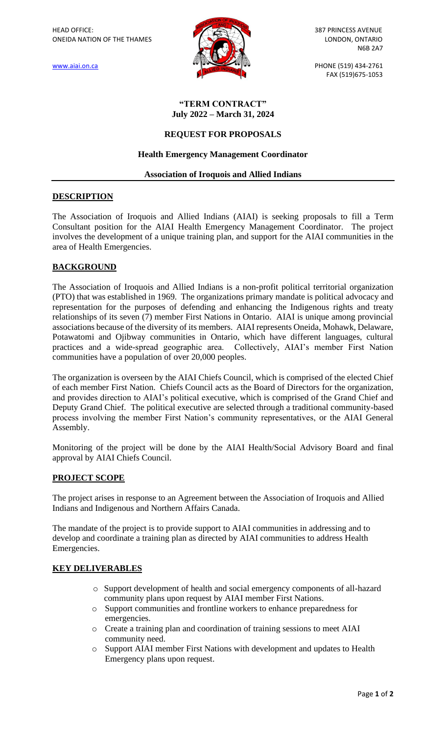

[www.aiai.on.ca](http://www.aiai.on.ca/) PHONE (519) 434-2761 FAX (519)675-1053

#### **"TERM CONTRACT" July 2022 – March 31, 2024**

## **REQUEST FOR PROPOSALS**

### **Health Emergency Management Coordinator**

#### **Association of Iroquois and Allied Indians**

## **DESCRIPTION**

The Association of Iroquois and Allied Indians (AIAI) is seeking proposals to fill a Term Consultant position for the AIAI Health Emergency Management Coordinator. The project involves the development of a unique training plan, and support for the AIAI communities in the area of Health Emergencies.

# **BACKGROUND**

The Association of Iroquois and Allied Indians is a non-profit political territorial organization (PTO) that was established in 1969. The organizations primary mandate is political advocacy and representation for the purposes of defending and enhancing the Indigenous rights and treaty relationships of its seven (7) member First Nations in Ontario. AIAI is unique among provincial associations because of the diversity of its members. AIAI represents Oneida, Mohawk, Delaware, Potawatomi and Ojibway communities in Ontario, which have different languages, cultural practices and a wide-spread geographic area. Collectively, AIAI's member First Nation communities have a population of over 20,000 peoples.

The organization is overseen by the AIAI Chiefs Council, which is comprised of the elected Chief of each member First Nation. Chiefs Council acts as the Board of Directors for the organization, and provides direction to AIAI's political executive, which is comprised of the Grand Chief and Deputy Grand Chief. The political executive are selected through a traditional community-based process involving the member First Nation's community representatives, or the AIAI General Assembly.

Monitoring of the project will be done by the AIAI Health/Social Advisory Board and final approval by AIAI Chiefs Council.

#### **PROJECT SCOPE**

The project arises in response to an Agreement between the Association of Iroquois and Allied Indians and Indigenous and Northern Affairs Canada.

The mandate of the project is to provide support to AIAI communities in addressing and to develop and coordinate a training plan as directed by AIAI communities to address Health Emergencies.

#### **KEY DELIVERABLES**

- o Support development of health and social emergency components of all-hazard community plans upon request by AIAI member First Nations.
- o Support communities and frontline workers to enhance preparedness for emergencies.
- o Create a training plan and coordination of training sessions to meet AIAI community need.
- o Support AIAI member First Nations with development and updates to Health Emergency plans upon request.